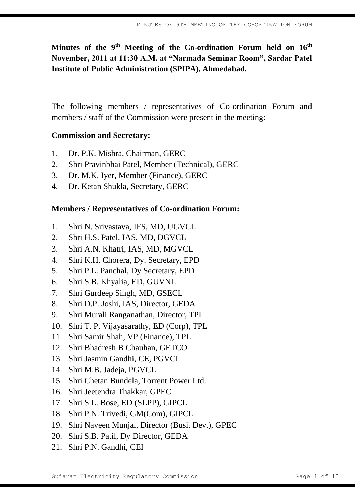**Minutes of the 9 th Meeting of the Co-ordination Forum held on 16th November, 2011 at 11:30 A.M. at "Narmada Seminar Room", Sardar Patel Institute of Public Administration (SPIPA), Ahmedabad.**

The following members / representatives of Co-ordination Forum and members / staff of the Commission were present in the meeting:

### **Commission and Secretary:**

- 1. Dr. P.K. Mishra, Chairman, GERC
- 2. Shri Pravinbhai Patel, Member (Technical), GERC
- 3. Dr. M.K. Iyer, Member (Finance), GERC
- 4. Dr. Ketan Shukla, Secretary, GERC

#### **Members / Representatives of Co-ordination Forum:**

- 1. Shri N. Srivastava, IFS, MD, UGVCL
- 2. Shri H.S. Patel, IAS, MD, DGVCL
- 3. Shri A.N. Khatri, IAS, MD, MGVCL
- 4. Shri K.H. Chorera, Dy. Secretary, EPD
- 5. Shri P.L. Panchal, Dy Secretary, EPD
- 6. Shri S.B. Khyalia, ED, GUVNL
- 7. Shri Gurdeep Singh, MD, GSECL
- 8. Shri D.P. Joshi, IAS, Director, GEDA
- 9. Shri Murali Ranganathan, Director, TPL
- 10. Shri T. P. Vijayasarathy, ED (Corp), TPL
- 11. Shri Samir Shah, VP (Finance), TPL
- 12. Shri Bhadresh B Chauhan, GETCO
- 13. Shri Jasmin Gandhi, CE, PGVCL
- 14. Shri M.B. Jadeja, PGVCL
- 15. Shri Chetan Bundela, Torrent Power Ltd.
- 16. Shri Jeetendra Thakkar, GPEC
- 17. Shri S.L. Bose, ED (SLPP), GIPCL
- 18. Shri P.N. Trivedi, GM(Com), GIPCL
- 19. Shri Naveen Munjal, Director (Busi. Dev.), GPEC
- 20. Shri S.B. Patil, Dy Director, GEDA
- 21. Shri P.N. Gandhi, CEI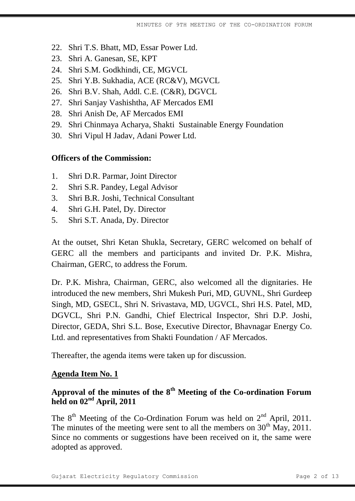- 22. Shri T.S. Bhatt, MD, Essar Power Ltd.
- 23. Shri A. Ganesan, SE, KPT
- 24. Shri S.M. Godkhindi, CE, MGVCL
- 25. Shri Y.B. Sukhadia, ACE (RC&V), MGVCL
- 26. Shri B.V. Shah, Addl. C.E. (C&R), DGVCL
- 27. Shri Sanjay Vashishtha, AF Mercados EMI
- 28. Shri Anish De, AF Mercados EMI
- 29. Shri Chinmaya Acharya, Shakti Sustainable Energy Foundation
- 30. Shri Vipul H Jadav, Adani Power Ltd.

#### **Officers of the Commission:**

- 1. Shri D.R. Parmar, Joint Director
- 2. Shri S.R. Pandey, Legal Advisor
- 3. Shri B.R. Joshi, Technical Consultant
- 4. Shri G.H. Patel, Dy. Director
- 5. Shri S.T. Anada, Dy. Director

At the outset, Shri Ketan Shukla, Secretary, GERC welcomed on behalf of GERC all the members and participants and invited Dr. P.K. Mishra, Chairman, GERC, to address the Forum.

Dr. P.K. Mishra, Chairman, GERC, also welcomed all the dignitaries. He introduced the new members, Shri Mukesh Puri, MD, GUVNL, Shri Gurdeep Singh, MD, GSECL, Shri N. Srivastava, MD, UGVCL, Shri H.S. Patel, MD, DGVCL, Shri P.N. Gandhi, Chief Electrical Inspector, Shri D.P. Joshi, Director, GEDA, Shri S.L. Bose, Executive Director, Bhavnagar Energy Co. Ltd. and representatives from Shakti Foundation / AF Mercados.

Thereafter, the agenda items were taken up for discussion.

#### **Agenda Item No. 1**

# **Approval of the minutes of the 8th Meeting of the Co-ordination Forum held on 02nd April, 2011**

The  $8<sup>th</sup>$  Meeting of the Co-Ordination Forum was held on  $2<sup>nd</sup>$  April, 2011. The minutes of the meeting were sent to all the members on  $30<sup>th</sup>$  May, 2011. Since no comments or suggestions have been received on it, the same were adopted as approved.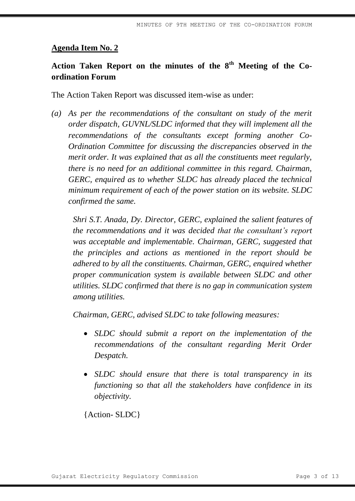# **Action Taken Report on the minutes of the 8th Meeting of the Coordination Forum**

The Action Taken Report was discussed item-wise as under:

*(a) As per the recommendations of the consultant on study of the merit order dispatch, GUVNL/SLDC informed that they will implement all the recommendations of the consultants except forming another Co-Ordination Committee for discussing the discrepancies observed in the merit order. It was explained that as all the constituents meet regularly, there is no need for an additional committee in this regard. Chairman, GERC, enquired as to whether SLDC has already placed the technical minimum requirement of each of the power station on its website. SLDC confirmed the same.* 

*Shri S.T. Anada, Dy. Director, GERC, explained the salient features of the recommendations and it was decided that the consultant's report was acceptable and implementable. Chairman, GERC, suggested that the principles and actions as mentioned in the report should be adhered to by all the constituents. Chairman, GERC, enquired whether proper communication system is available between SLDC and other utilities. SLDC confirmed that there is no gap in communication system among utilities.*

*Chairman, GERC, advised SLDC to take following measures:* 

- *SLDC should submit a report on the implementation of the recommendations of the consultant regarding Merit Order Despatch.*
- *SLDC should ensure that there is total transparency in its functioning so that all the stakeholders have confidence in its objectivity.*

{Action- SLDC}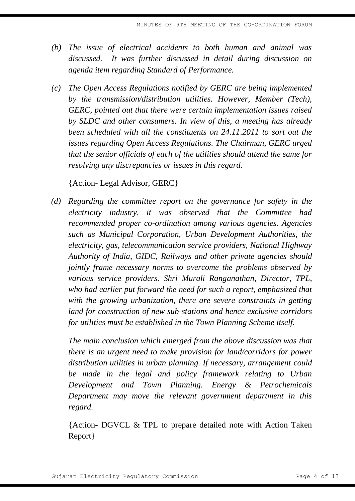- *(b) The issue of electrical accidents to both human and animal was discussed. It was further discussed in detail during discussion on agenda item regarding Standard of Performance.*
- *(c) The Open Access Regulations notified by GERC are being implemented by the transmission/distribution utilities. However, Member (Tech), GERC, pointed out that there were certain implementation issues raised by SLDC and other consumers. In view of this, a meeting has already been scheduled with all the constituents on 24.11.2011 to sort out the issues regarding Open Access Regulations. The Chairman, GERC urged that the senior officials of each of the utilities should attend the same for resolving any discrepancies or issues in this regard.*

{Action- Legal Advisor, GERC}

*(d) Regarding the committee report on the governance for safety in the electricity industry, it was observed that the Committee had recommended proper co-ordination among various agencies. Agencies such as Municipal Corporation, Urban Development Authorities, the electricity, gas, telecommunication service providers, National Highway Authority of India, GIDC, Railways and other private agencies should jointly frame necessary norms to overcome the problems observed by various service providers. Shri Murali Ranganathan, Director, TPL, who had earlier put forward the need for such a report, emphasized that with the growing urbanization, there are severe constraints in getting land for construction of new sub-stations and hence exclusive corridors for utilities must be established in the Town Planning Scheme itself.*

*The main conclusion which emerged from the above discussion was that there is an urgent need to make provision for land/corridors for power distribution utilities in urban planning. If necessary, arrangement could be made in the legal and policy framework relating to Urban Development and Town Planning. Energy & Petrochemicals Department may move the relevant government department in this regard.* 

{Action- DGVCL & TPL to prepare detailed note with Action Taken Report}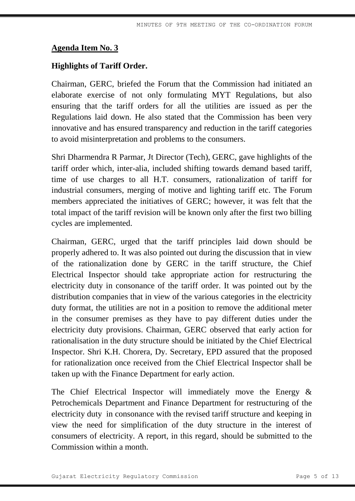#### **Highlights of Tariff Order.**

Chairman, GERC, briefed the Forum that the Commission had initiated an elaborate exercise of not only formulating MYT Regulations, but also ensuring that the tariff orders for all the utilities are issued as per the Regulations laid down. He also stated that the Commission has been very innovative and has ensured transparency and reduction in the tariff categories to avoid misinterpretation and problems to the consumers.

Shri Dharmendra R Parmar, Jt Director (Tech), GERC, gave highlights of the tariff order which, inter-alia, included shifting towards demand based tariff, time of use charges to all H.T. consumers, rationalization of tariff for industrial consumers, merging of motive and lighting tariff etc. The Forum members appreciated the initiatives of GERC; however, it was felt that the total impact of the tariff revision will be known only after the first two billing cycles are implemented.

Chairman, GERC, urged that the tariff principles laid down should be properly adhered to. It was also pointed out during the discussion that in view of the rationalization done by GERC in the tariff structure, the Chief Electrical Inspector should take appropriate action for restructuring the electricity duty in consonance of the tariff order. It was pointed out by the distribution companies that in view of the various categories in the electricity duty format, the utilities are not in a position to remove the additional meter in the consumer premises as they have to pay different duties under the electricity duty provisions. Chairman, GERC observed that early action for rationalisation in the duty structure should be initiated by the Chief Electrical Inspector. Shri K.H. Chorera, Dy. Secretary, EPD assured that the proposed for rationalization once received from the Chief Electrical Inspector shall be taken up with the Finance Department for early action.

The Chief Electrical Inspector will immediately move the Energy & Petrochemicals Department and Finance Department for restructuring of the electricity duty in consonance with the revised tariff structure and keeping in view the need for simplification of the duty structure in the interest of consumers of electricity. A report, in this regard, should be submitted to the Commission within a month.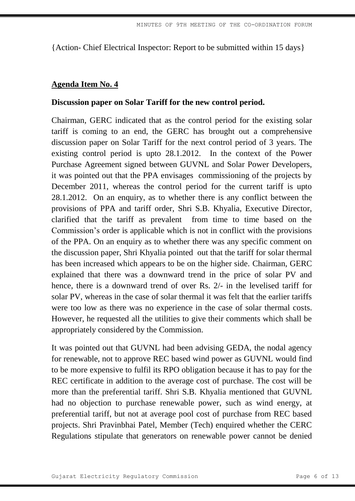{Action- Chief Electrical Inspector: Report to be submitted within 15 days}

## **Agenda Item No. 4**

## **Discussion paper on Solar Tariff for the new control period.**

Chairman, GERC indicated that as the control period for the existing solar tariff is coming to an end, the GERC has brought out a comprehensive discussion paper on Solar Tariff for the next control period of 3 years. The existing control period is upto 28.1.2012. In the context of the Power Purchase Agreement signed between GUVNL and Solar Power Developers, it was pointed out that the PPA envisages commissioning of the projects by December 2011, whereas the control period for the current tariff is upto 28.1.2012. On an enquiry, as to whether there is any conflict between the provisions of PPA and tariff order, Shri S.B. Khyalia, Executive Director, clarified that the tariff as prevalent from time to time based on the Commission's order is applicable which is not in conflict with the provisions of the PPA. On an enquiry as to whether there was any specific comment on the discussion paper, Shri Khyalia pointed out that the tariff for solar thermal has been increased which appears to be on the higher side. Chairman, GERC explained that there was a downward trend in the price of solar PV and hence, there is a downward trend of over Rs. 2/- in the levelised tariff for solar PV, whereas in the case of solar thermal it was felt that the earlier tariffs were too low as there was no experience in the case of solar thermal costs. However, he requested all the utilities to give their comments which shall be appropriately considered by the Commission.

It was pointed out that GUVNL had been advising GEDA, the nodal agency for renewable, not to approve REC based wind power as GUVNL would find to be more expensive to fulfil its RPO obligation because it has to pay for the REC certificate in addition to the average cost of purchase. The cost will be more than the preferential tariff. Shri S.B. Khyalia mentioned that GUVNL had no objection to purchase renewable power, such as wind energy, at preferential tariff, but not at average pool cost of purchase from REC based projects. Shri Pravinbhai Patel, Member (Tech) enquired whether the CERC Regulations stipulate that generators on renewable power cannot be denied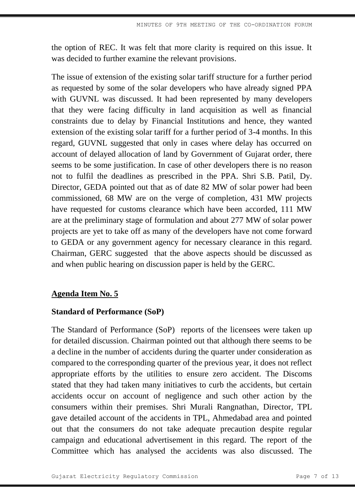the option of REC. It was felt that more clarity is required on this issue. It was decided to further examine the relevant provisions.

The issue of extension of the existing solar tariff structure for a further period as requested by some of the solar developers who have already signed PPA with GUVNL was discussed. It had been represented by many developers that they were facing difficulty in land acquisition as well as financial constraints due to delay by Financial Institutions and hence, they wanted extension of the existing solar tariff for a further period of 3-4 months. In this regard, GUVNL suggested that only in cases where delay has occurred on account of delayed allocation of land by Government of Gujarat order, there seems to be some justification. In case of other developers there is no reason not to fulfil the deadlines as prescribed in the PPA. Shri S.B. Patil, Dy. Director, GEDA pointed out that as of date 82 MW of solar power had been commissioned, 68 MW are on the verge of completion, 431 MW projects have requested for customs clearance which have been accorded, 111 MW are at the preliminary stage of formulation and about 277 MW of solar power projects are yet to take off as many of the developers have not come forward to GEDA or any government agency for necessary clearance in this regard. Chairman, GERC suggested that the above aspects should be discussed as and when public hearing on discussion paper is held by the GERC.

# **Agenda Item No. 5**

#### **Standard of Performance (SoP)**

The Standard of Performance (SoP) reports of the licensees were taken up for detailed discussion. Chairman pointed out that although there seems to be a decline in the number of accidents during the quarter under consideration as compared to the corresponding quarter of the previous year, it does not reflect appropriate efforts by the utilities to ensure zero accident. The Discoms stated that they had taken many initiatives to curb the accidents, but certain accidents occur on account of negligence and such other action by the consumers within their premises. Shri Murali Rangnathan, Director, TPL gave detailed account of the accidents in TPL, Ahmedabad area and pointed out that the consumers do not take adequate precaution despite regular campaign and educational advertisement in this regard. The report of the Committee which has analysed the accidents was also discussed. The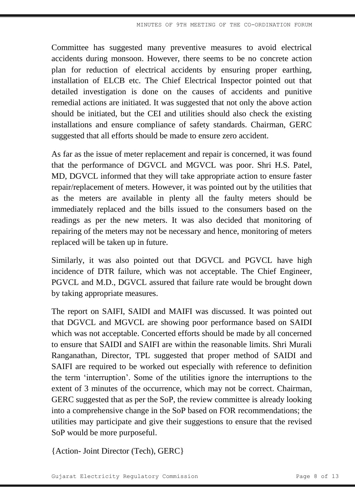Committee has suggested many preventive measures to avoid electrical accidents during monsoon. However, there seems to be no concrete action plan for reduction of electrical accidents by ensuring proper earthing, installation of ELCB etc. The Chief Electrical Inspector pointed out that detailed investigation is done on the causes of accidents and punitive remedial actions are initiated. It was suggested that not only the above action should be initiated, but the CEI and utilities should also check the existing installations and ensure compliance of safety standards. Chairman, GERC suggested that all efforts should be made to ensure zero accident.

As far as the issue of meter replacement and repair is concerned, it was found that the performance of DGVCL and MGVCL was poor. Shri H.S. Patel, MD, DGVCL informed that they will take appropriate action to ensure faster repair/replacement of meters. However, it was pointed out by the utilities that as the meters are available in plenty all the faulty meters should be immediately replaced and the bills issued to the consumers based on the readings as per the new meters. It was also decided that monitoring of repairing of the meters may not be necessary and hence, monitoring of meters replaced will be taken up in future.

Similarly, it was also pointed out that DGVCL and PGVCL have high incidence of DTR failure, which was not acceptable. The Chief Engineer, PGVCL and M.D., DGVCL assured that failure rate would be brought down by taking appropriate measures.

The report on SAIFI, SAIDI and MAIFI was discussed. It was pointed out that DGVCL and MGVCL are showing poor performance based on SAIDI which was not acceptable. Concerted efforts should be made by all concerned to ensure that SAIDI and SAIFI are within the reasonable limits. Shri Murali Ranganathan, Director, TPL suggested that proper method of SAIDI and SAIFI are required to be worked out especially with reference to definition the term 'interruption'. Some of the utilities ignore the interruptions to the extent of 3 minutes of the occurrence, which may not be correct. Chairman, GERC suggested that as per the SoP, the review committee is already looking into a comprehensive change in the SoP based on FOR recommendations; the utilities may participate and give their suggestions to ensure that the revised SoP would be more purposeful.

{Action- Joint Director (Tech), GERC}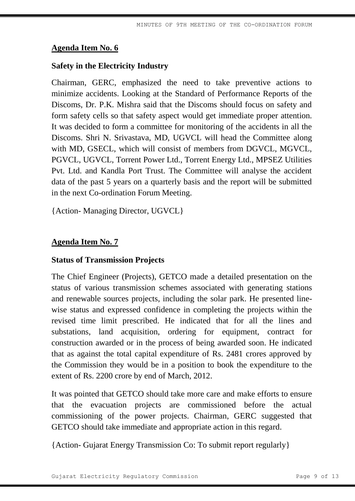# **Safety in the Electricity Industry**

Chairman, GERC, emphasized the need to take preventive actions to minimize accidents. Looking at the Standard of Performance Reports of the Discoms, Dr. P.K. Mishra said that the Discoms should focus on safety and form safety cells so that safety aspect would get immediate proper attention. It was decided to form a committee for monitoring of the accidents in all the Discoms. Shri N. Srivastava, MD, UGVCL will head the Committee along with MD, GSECL, which will consist of members from DGVCL, MGVCL, PGVCL, UGVCL, Torrent Power Ltd., Torrent Energy Ltd., MPSEZ Utilities Pvt. Ltd. and Kandla Port Trust. The Committee will analyse the accident data of the past 5 years on a quarterly basis and the report will be submitted in the next Co-ordination Forum Meeting.

{Action- Managing Director, UGVCL}

# **Agenda Item No. 7**

### **Status of Transmission Projects**

The Chief Engineer (Projects), GETCO made a detailed presentation on the status of various transmission schemes associated with generating stations and renewable sources projects, including the solar park. He presented linewise status and expressed confidence in completing the projects within the revised time limit prescribed. He indicated that for all the lines and substations, land acquisition, ordering for equipment, contract for construction awarded or in the process of being awarded soon. He indicated that as against the total capital expenditure of Rs. 2481 crores approved by the Commission they would be in a position to book the expenditure to the extent of Rs. 2200 crore by end of March, 2012.

It was pointed that GETCO should take more care and make efforts to ensure that the evacuation projects are commissioned before the actual commissioning of the power projects. Chairman, GERC suggested that GETCO should take immediate and appropriate action in this regard.

{Action- Gujarat Energy Transmission Co: To submit report regularly}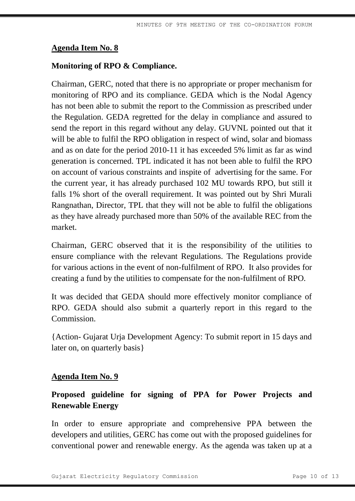# **Monitoring of RPO & Compliance.**

Chairman, GERC, noted that there is no appropriate or proper mechanism for monitoring of RPO and its compliance. GEDA which is the Nodal Agency has not been able to submit the report to the Commission as prescribed under the Regulation. GEDA regretted for the delay in compliance and assured to send the report in this regard without any delay. GUVNL pointed out that it will be able to fulfil the RPO obligation in respect of wind, solar and biomass and as on date for the period 2010-11 it has exceeded 5% limit as far as wind generation is concerned. TPL indicated it has not been able to fulfil the RPO on account of various constraints and inspite of advertising for the same. For the current year, it has already purchased 102 MU towards RPO, but still it falls 1% short of the overall requirement. It was pointed out by Shri Murali Rangnathan, Director, TPL that they will not be able to fulfil the obligations as they have already purchased more than 50% of the available REC from the market.

Chairman, GERC observed that it is the responsibility of the utilities to ensure compliance with the relevant Regulations. The Regulations provide for various actions in the event of non-fulfilment of RPO. It also provides for creating a fund by the utilities to compensate for the non-fulfilment of RPO.

It was decided that GEDA should more effectively monitor compliance of RPO. GEDA should also submit a quarterly report in this regard to the **Commission** 

{Action- Gujarat Urja Development Agency: To submit report in 15 days and later on, on quarterly basis}

### **Agenda Item No. 9**

# **Proposed guideline for signing of PPA for Power Projects and Renewable Energy**

In order to ensure appropriate and comprehensive PPA between the developers and utilities, GERC has come out with the proposed guidelines for conventional power and renewable energy. As the agenda was taken up at a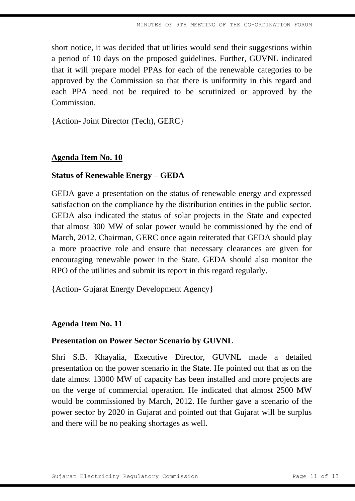short notice, it was decided that utilities would send their suggestions within a period of 10 days on the proposed guidelines. Further, GUVNL indicated that it will prepare model PPAs for each of the renewable categories to be approved by the Commission so that there is uniformity in this regard and each PPA need not be required to be scrutinized or approved by the **Commission** 

{Action- Joint Director (Tech), GERC}

## **Agenda Item No. 10**

### **Status of Renewable Energy – GEDA**

GEDA gave a presentation on the status of renewable energy and expressed satisfaction on the compliance by the distribution entities in the public sector. GEDA also indicated the status of solar projects in the State and expected that almost 300 MW of solar power would be commissioned by the end of March, 2012. Chairman, GERC once again reiterated that GEDA should play a more proactive role and ensure that necessary clearances are given for encouraging renewable power in the State. GEDA should also monitor the RPO of the utilities and submit its report in this regard regularly.

{Action- Gujarat Energy Development Agency}

### **Agenda Item No. 11**

#### **Presentation on Power Sector Scenario by GUVNL**

Shri S.B. Khayalia, Executive Director, GUVNL made a detailed presentation on the power scenario in the State. He pointed out that as on the date almost 13000 MW of capacity has been installed and more projects are on the verge of commercial operation. He indicated that almost 2500 MW would be commissioned by March, 2012. He further gave a scenario of the power sector by 2020 in Gujarat and pointed out that Gujarat will be surplus and there will be no peaking shortages as well.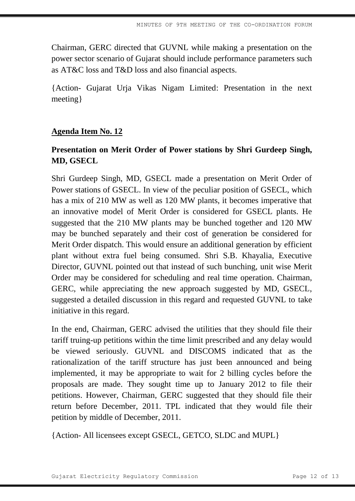Chairman, GERC directed that GUVNL while making a presentation on the power sector scenario of Gujarat should include performance parameters such as AT&C loss and T&D loss and also financial aspects.

{Action- Gujarat Urja Vikas Nigam Limited: Presentation in the next meeting}

# **Agenda Item No. 12**

# **Presentation on Merit Order of Power stations by Shri Gurdeep Singh, MD, GSECL**

Shri Gurdeep Singh, MD, GSECL made a presentation on Merit Order of Power stations of GSECL. In view of the peculiar position of GSECL, which has a mix of 210 MW as well as 120 MW plants, it becomes imperative that an innovative model of Merit Order is considered for GSECL plants. He suggested that the 210 MW plants may be bunched together and 120 MW may be bunched separately and their cost of generation be considered for Merit Order dispatch. This would ensure an additional generation by efficient plant without extra fuel being consumed. Shri S.B. Khayalia, Executive Director, GUVNL pointed out that instead of such bunching, unit wise Merit Order may be considered for scheduling and real time operation. Chairman, GERC, while appreciating the new approach suggested by MD, GSECL, suggested a detailed discussion in this regard and requested GUVNL to take initiative in this regard.

In the end, Chairman, GERC advised the utilities that they should file their tariff truing-up petitions within the time limit prescribed and any delay would be viewed seriously. GUVNL and DISCOMS indicated that as the rationalization of the tariff structure has just been announced and being implemented, it may be appropriate to wait for 2 billing cycles before the proposals are made. They sought time up to January 2012 to file their petitions. However, Chairman, GERC suggested that they should file their return before December, 2011. TPL indicated that they would file their petition by middle of December, 2011.

{Action- All licensees except GSECL, GETCO, SLDC and MUPL}